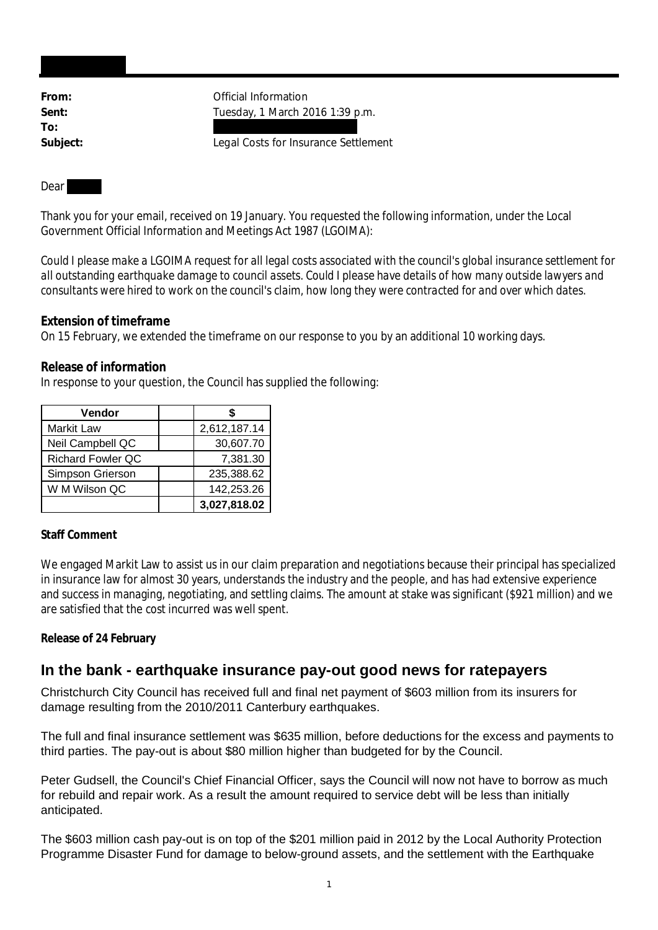**To:**

**From:** Official Information **Sent:** Tuesday, 1 March 2016 1:39 p.m.

**Subject:** Legal Costs for Insurance Settlement

Dear

Thank you for your email, received on 19 January. You requested the following information, under the Local Government Official Information and Meetings Act 1987 (LGOIMA):

*Could I please make a LGOIMA request for all legal costs associated with the council's global insurance settlement for all outstanding earthquake damage to council assets. Could I please have details of how many outside lawyers and consultants were hired to work on the council's claim, how long they were contracted for and over which dates.*

**Extension of timeframe**

On 15 February, we extended the timeframe on our response to you by an additional 10 working days.

**Release of information**

In response to your question, the Council has supplied the following:

| Vendor                   |              |
|--------------------------|--------------|
| Markit Law               | 2,612,187.14 |
| Neil Campbell QC         | 30,607.70    |
| <b>Richard Fowler QC</b> | 7,381.30     |
| Simpson Grierson         | 235,388.62   |
| W M Wilson QC            | 142,253.26   |
|                          | 3,027,818.02 |

## **Staff Comment**

We engaged Markit Law to assist us in our claim preparation and negotiations because their principal has specialized in insurance law for almost 30 years, understands the industry and the people, and has had extensive experience and success in managing, negotiating, and settling claims. The amount at stake was significant (\$921 million) and we are satisfied that the cost incurred was well spent.

**Release of 24 February**

## **In the bank - earthquake insurance pay-out good news for ratepayers**

Christchurch City Council has received full and final net payment of \$603 million from its insurers for damage resulting from the 2010/2011 Canterbury earthquakes.

The full and final insurance settlement was \$635 million, before deductions for the excess and payments to third parties. The pay-out is about \$80 million higher than budgeted for by the Council.

Peter Gudsell, the Council's Chief Financial Officer, says the Council will now not have to borrow as much for rebuild and repair work. As a result the amount required to service debt will be less than initially anticipated.

The \$603 million cash pay-out is on top of the \$201 million paid in 2012 by the Local Authority Protection Programme Disaster Fund for damage to below-ground assets, and the settlement with the Earthquake